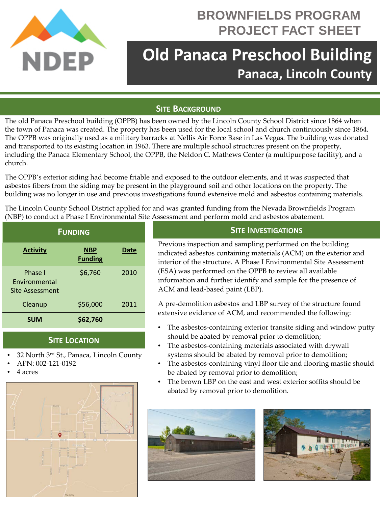

## **BROWNFIELDS PROGRAM PROJECT FACT SHEET**

# **Old Panaca Preschool Building Panaca, Lincoln County**

#### **SITE BACKGROUND**

The old Panaca Preschool building (OPPB) has been owned by the Lincoln County School District since 1864 when the town of Panaca was created. The property has been used for the local school and church continuously since 1864. The OPPB was originally used as a military barracks at Nellis Air Force Base in Las Vegas. The building was donated and transported to its existing location in 1963. There are multiple school structures present on the property, including the Panaca Elementary School, the OPPB, the Neldon C. Mathews Center (a multipurpose facility), and a church.

The OPPB's exterior siding had become friable and exposed to the outdoor elements, and it was suspected that asbestos fibers from the siding may be present in the playground soil and other locations on the property. The building was no longer in use and previous investigations found extensive mold and asbestos containing materials.

The Lincoln County School District applied for and was granted funding from the Nevada Brownfields Program (NBP) to conduct a Phase I Environmental Site Assessment and perform mold and asbestos abatement.

| <b>FUNDING</b>                                     |                              |             |
|----------------------------------------------------|------------------------------|-------------|
| <b>Activity</b>                                    | <b>NBP</b><br><b>Funding</b> | <b>Date</b> |
| Phase I<br><b>Fnvironmental</b><br>Site Assessment | \$6,760                      | 2010        |
| Cleanup                                            | \$56,000                     | 2011        |
| <b>SUM</b>                                         | \$62,760                     |             |

#### **SITE LOCATION**

- 32 North 3rd St., Panaca, Lincoln County
- APN: 002-121-0192
- 4 acres



### **SITE INVESTIGATIONS**

Previous inspection and sampling performed on the building indicated asbestos containing materials (ACM) on the exterior and interior of the structure. A Phase I Environmental Site Assessment (ESA) was performed on the OPPB to review all available information and further identify and sample for the presence of ACM and lead-based paint (LBP).

A pre-demolition asbestos and LBP survey of the structure found extensive evidence of ACM, and recommended the following:

- The asbestos-containing exterior transite siding and window putty should be abated by removal prior to demolition;
- The asbestos-containing materials associated with drywall systems should be abated by removal prior to demolition;
- The asbestos-containing vinyl floor tile and flooring mastic should be abated by removal prior to demolition;
- The brown LBP on the east and west exterior soffits should be abated by removal prior to demolition.